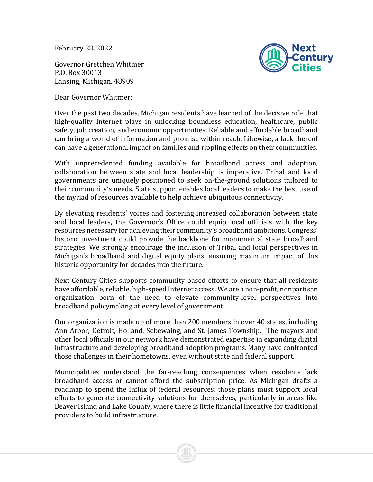February 28, 2022

Next enturv

Governor Gretchen Whitmer P.O. Box 30013 Lansing, Michigan, 48909

Dear Governor Whitmer:

Over the past two decades, Michigan residents have learned of the decisive role that high-quality Internet plays in unlocking boundless education, healthcare, public safety, job creation, and economic opportunities. Reliable and affordable broadband can bring a world of information and promise within reach. Likewise, a lack thereof can have a generational impact on families and rippling effects on their communities.

With unprecedented funding available for broadband access and adoption, collaboration between state and local leadership is imperative. Tribal and local governments are uniquely positioned to seek on-the-ground solutions tailored to their community's needs. State support enables local leaders to make the best use of the myriad of resources available to help achieve ubiquitous connectivity.

By elevating residents' voices and fostering increased collaboration between state and local leaders, the Governor's Office could equip local officials with the key resources necessary for achieving their community's broadband ambitions. Congress' historic investment could provide the backbone for monumental state broadband strategies. We strongly encourage the inclusion of Tribal and local perspectives in Michigan's broadband and digital equity plans, ensuring maximum impact of this historic opportunity for decades into the future.

Next Century Cities supports community-based efforts to ensure that all residents have affordable, reliable, high-speed Internet access. We are a non-profit, nonpartisan organization born of the need to elevate community-level perspectives into broadband policymaking at every level of government.

Our organization is made up of more than 200 members in over 40 states, including Ann Arbor, Detroit, Holland, Sebewaing, and St. James Township. The mayors and other local officials in our network have demonstrated expertise in expanding digital infrastructure and developing broadband adoption programs. Many have confronted those challenges in their hometowns, even without state and federal support.

Municipalities understand the far-reaching consequences when residents lack broadband access or cannot afford the subscription price. As Michigan drafts a roadmap to spend the influx of federal resources, those plans must support local efforts to generate connectivity solutions for themselves, particularly in areas like Beaver Island and Lake County, where there is little financial incentive for traditional providers to build infrastructure.